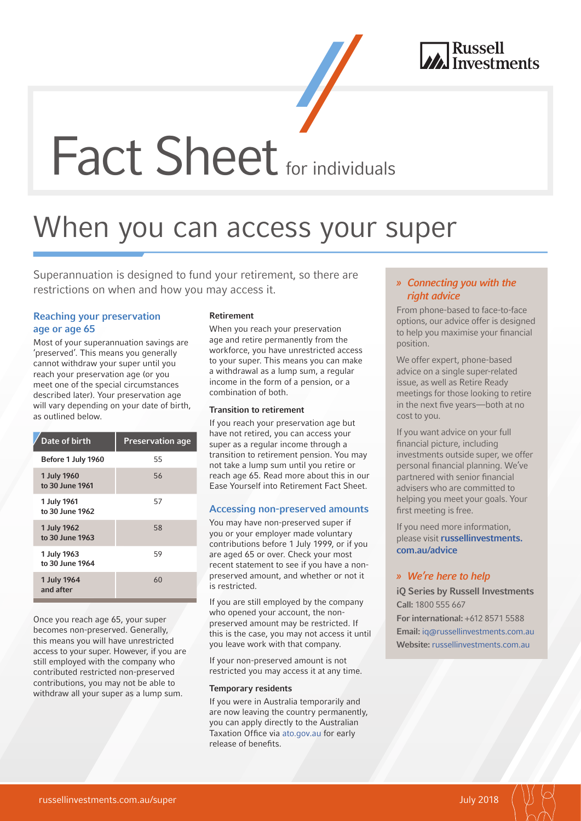

**Fact Sheet** for individuals

# When you can access your super

Superannuation is designed to fund your retirement, so there are restrictions on when and how you may access it.

# Reaching your preservation age or age 65

Most of your superannuation savings are 'preserved'. This means you generally cannot withdraw your super until you reach your preservation age (or you meet one of the special circumstances described later). Your preservation age will vary depending on your date of birth, as outlined below.

| Date of birth                  | <b>Preservation age</b> |
|--------------------------------|-------------------------|
| Before 1 July 1960             | 55                      |
| 1 July 1960<br>to 30 June 1961 | 56                      |
| 1 July 1961<br>to 30 June 1962 | 57                      |
| 1 July 1962<br>to 30 June 1963 | 58                      |
| 1 July 1963<br>to 30 June 1964 | 59                      |
| 1 July 1964<br>and after       | 60                      |
|                                |                         |

Once you reach age 65, your super becomes non-preserved. Generally, this means you will have unrestricted access to your super. However, if you are still employed with the company who contributed restricted non-preserved contributions, you may not be able to withdraw all your super as a lump sum.

## Retirement

When you reach your preservation age and retire permanently from the workforce, you have unrestricted access to your super. This means you can make a withdrawal as a lump sum, a regular income in the form of a pension, or a combination of both.

#### Transition to retirement

If you reach your preservation age but have not retired, you can access your super as a regular income through a transition to retirement pension. You may not take a lump sum until you retire or reach age 65. Read more about this in our Ease Yourself into Retirement Fact Sheet.

## Accessing non-preserved amounts

You may have non-preserved super if you or your employer made voluntary contributions before 1 July 1999, or if you are aged 65 or over. Check your most recent statement to see if you have a nonpreserved amount, and whether or not it is restricted.

If you are still employed by the company who opened your account, the nonpreserved amount may be restricted. If this is the case, you may not access it until you leave work with that company.

If your non-preserved amount is not restricted you may access it at any time.

## Temporary residents

If you were in Australia temporarily and are now leaving the country permanently, you can apply directly to the Australian Taxation Office via [ato.gov.au](https://www.ato.gov.au) for early release of benefits.

# » Connecting you with the right advice

From phone-based to face-to-face options, our advice offer is designed to help you maximise your financial position.

We offer expert, phone-based advice on a single super-related issue, as well as Retire Ready meetings for those looking to retire in the next five years—both at no cost to you.

If you want advice on your full financial picture, including investments outside super, we offer personal financial planning. We've partnered with senior financial advisers who are committed to helping you meet your goals. Your first meeting is free.

If you need more information, please visit [russellinvestments.](https://russellinvestments.com/au/advice) [com.au/advice](https://russellinvestments.com/au/advice)

## » We're here to help

iQ Series by Russell Investments Call: 1800 555 667 For international: +612 8571 5588 Email: [iq@russellinvestments.com.au](mailto:iq%40russellinvestments.com.au?subject=) Website: [russellinvestments.com.au](https://russellinvestments.com/au)